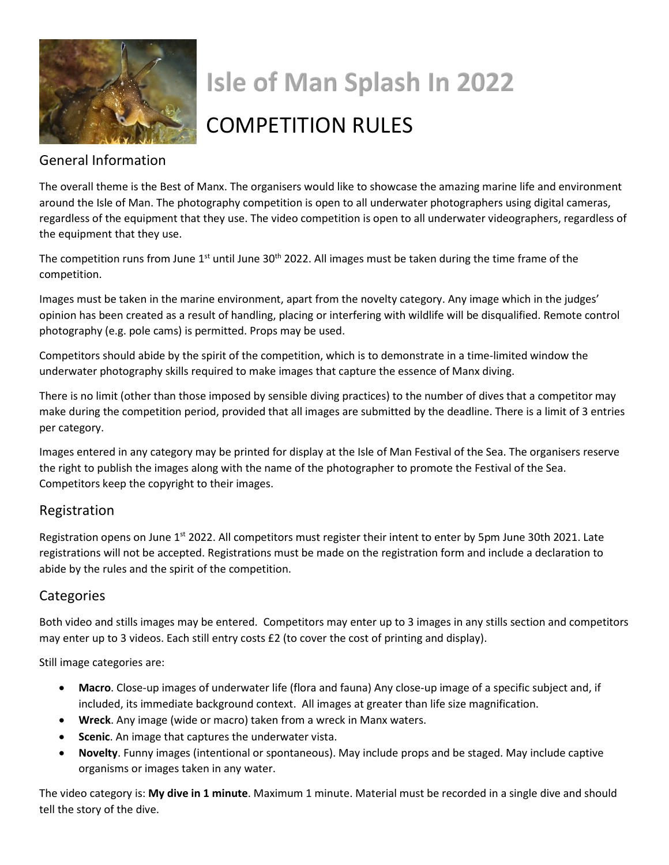

# **Isle of Man Splash In 2022**

## COMPETITION RULES

#### General Information

The overall theme is the Best of Manx. The organisers would like to showcase the amazing marine life and environment around the Isle of Man. The photography competition is open to all underwater photographers using digital cameras, regardless of the equipment that they use. The video competition is open to all underwater videographers, regardless of the equipment that they use.

The competition runs from June  $1<sup>st</sup>$  until June 30<sup>th</sup> 2022. All images must be taken during the time frame of the competition.

Images must be taken in the marine environment, apart from the novelty category. Any image which in the judges' opinion has been created as a result of handling, placing or interfering with wildlife will be disqualified. Remote control photography (e.g. pole cams) is permitted. Props may be used.

Competitors should abide by the spirit of the competition, which is to demonstrate in a time-limited window the underwater photography skills required to make images that capture the essence of Manx diving.

There is no limit (other than those imposed by sensible diving practices) to the number of dives that a competitor may make during the competition period, provided that all images are submitted by the deadline. There is a limit of 3 entries per category.

Images entered in any category may be printed for display at the Isle of Man Festival of the Sea. The organisers reserve the right to publish the images along with the name of the photographer to promote the Festival of the Sea. Competitors keep the copyright to their images.

#### Registration

Registration opens on June  $1<sup>st</sup>$  2022. All competitors must register their intent to enter by 5pm June 30th 2021. Late registrations will not be accepted. Registrations must be made on the registration form and include a declaration to abide by the rules and the spirit of the competition.

#### **Categories**

Both video and stills images may be entered. Competitors may enter up to 3 images in any stills section and competitors may enter up to 3 videos. Each still entry costs £2 (to cover the cost of printing and display).

Still image categories are:

- **Macro**. Close-up images of underwater life (flora and fauna) Any close-up image of a specific subject and, if included, its immediate background context. All images at greater than life size magnification.
- **Wreck**. Any image (wide or macro) taken from a wreck in Manx waters.
- **Scenic**. An image that captures the underwater vista.
- **Novelty**. Funny images (intentional or spontaneous). May include props and be staged. May include captive organisms or images taken in any water.

The video category is: **My dive in 1 minute**. Maximum 1 minute. Material must be recorded in a single dive and should tell the story of the dive.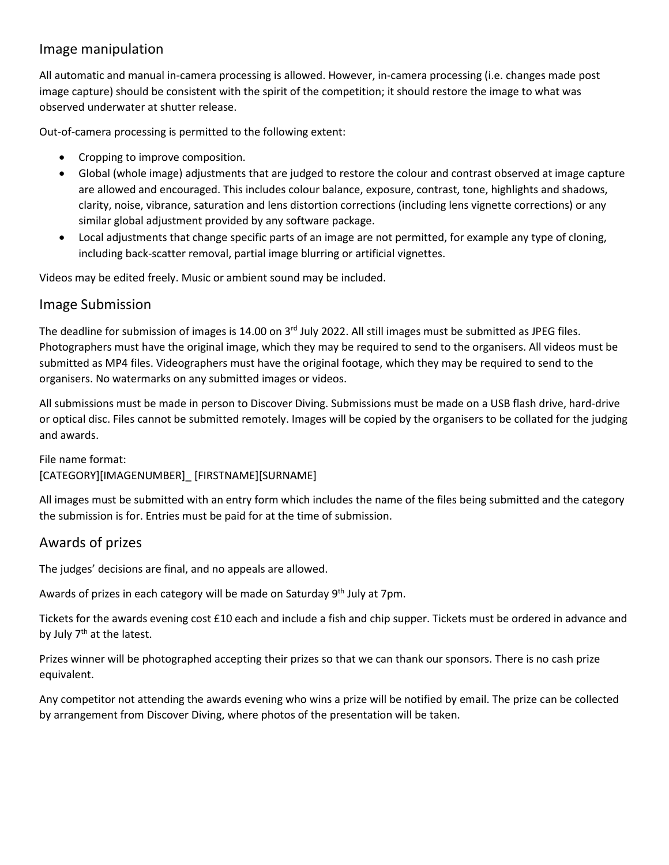#### Image manipulation

All automatic and manual in-camera processing is allowed. However, in-camera processing (i.e. changes made post image capture) should be consistent with the spirit of the competition; it should restore the image to what was observed underwater at shutter release.

Out-of-camera processing is permitted to the following extent:

- Cropping to improve composition.
- Global (whole image) adjustments that are judged to restore the colour and contrast observed at image capture are allowed and encouraged. This includes colour balance, exposure, contrast, tone, highlights and shadows, clarity, noise, vibrance, saturation and lens distortion corrections (including lens vignette corrections) or any similar global adjustment provided by any software package.
- Local adjustments that change specific parts of an image are not permitted, for example any type of cloning, including back-scatter removal, partial image blurring or artificial vignettes.

Videos may be edited freely. Music or ambient sound may be included.

#### Image Submission

The deadline for submission of images is 14.00 on  $3<sup>rd</sup>$  July 2022. All still images must be submitted as JPEG files. Photographers must have the original image, which they may be required to send to the organisers. All videos must be submitted as MP4 files. Videographers must have the original footage, which they may be required to send to the organisers. No watermarks on any submitted images or videos.

All submissions must be made in person to Discover Diving. Submissions must be made on a USB flash drive, hard-drive or optical disc. Files cannot be submitted remotely. Images will be copied by the organisers to be collated for the judging and awards.

#### File name format: [CATEGORY][IMAGENUMBER]\_ [FIRSTNAME][SURNAME]

All images must be submitted with an entry form which includes the name of the files being submitted and the category the submission is for. Entries must be paid for at the time of submission.

#### Awards of prizes

The judges' decisions are final, and no appeals are allowed.

Awards of prizes in each category will be made on Saturday 9<sup>th</sup> July at 7pm.

Tickets for the awards evening cost £10 each and include a fish and chip supper. Tickets must be ordered in advance and by July  $7<sup>th</sup>$  at the latest.

Prizes winner will be photographed accepting their prizes so that we can thank our sponsors. There is no cash prize equivalent.

Any competitor not attending the awards evening who wins a prize will be notified by email. The prize can be collected by arrangement from Discover Diving, where photos of the presentation will be taken.